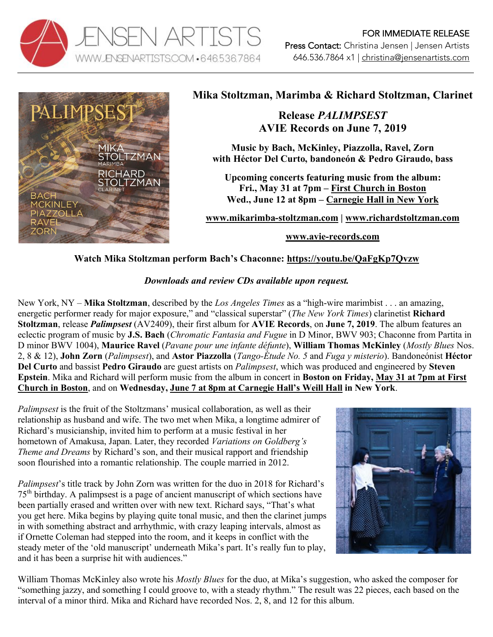



## **Mika Stoltzman, Marimba & Richard Stoltzman, Clarinet**

**Release** *PALIMPSEST* **AVIE Records on June 7, 2019**

**Music by Bach, McKinley, Piazzolla, Ravel, Zorn with Héctor Del Curto, bandoneón & Pedro Giraudo, bass**

**Upcoming concerts featuring music from the album: Fri., May 31 at 7pm – First Church in Boston Wed., June 12 at 8pm – Carnegie Hall in New York**

**www.mikarimba-stoltzman.com | www.richardstoltzman.com**

**www.avie-records.com**

## **Watch Mika Stoltzman perform Bach's Chaconne: https://youtu.be/QaFgKp7Qvzw**

## *Downloads and review CDs available upon request.*

New York, NY – **Mika Stoltzman**, described by the *Los Angeles Times* as a "high-wire marimbist . . . an amazing, energetic performer ready for major exposure," and "classical superstar" (*The New York Times*) clarinetist **Richard Stoltzman**, release *Palimpsest* (AV2409), their first album for **AVIE Records**, on **June 7, 2019**. The album features an eclectic program of music by **J.S. Bach** (*Chromatic Fantasia and Fugue* in D Minor, BWV 903; Chaconne from Partita in D minor BWV 1004), **Maurice Ravel** (*Pavane pour une infante défunte*), **William Thomas McKinley** (*Mostly Blues* Nos. 2, 8 & 12), **John Zorn** (*Palimpsest*), and **Astor Piazzolla** (*Tango-Étude No. 5* and *Fuga y misterio*). Bandoneónist **Héctor Del Curto** and bassist **Pedro Giraudo** are guest artists on *Palimpsest*, which was produced and engineered by **Steven Epstein**. Mika and Richard will perform music from the album in concert in **Boston on Friday, May 31 at 7pm at First Church in Boston**, and on **Wednesday, June 7 at 8pm at Carnegie Hall's Weill Hall in New York**.

*Palimpsest* is the fruit of the Stoltzmans' musical collaboration, as well as their relationship as husband and wife. The two met when Mika, a longtime admirer of Richard's musicianship, invited him to perform at a music festival in her hometown of Amakusa, Japan. Later, they recorded *Variations on Goldberg's Theme and Dreams* by Richard's son, and their musical rapport and friendship soon flourished into a romantic relationship. The couple married in 2012.

*Palimpsest*'s title track by John Zorn was written for the duo in 2018 for Richard's 75th birthday. A palimpsest is a page of ancient manuscript of which sections have been partially erased and written over with new text. Richard says, "That's what you get here. Mika begins by playing quite tonal music, and then the clarinet jumps in with something abstract and arrhythmic, with crazy leaping intervals, almost as if Ornette Coleman had stepped into the room, and it keeps in conflict with the steady meter of the 'old manuscript' underneath Mika's part. It's really fun to play, and it has been a surprise hit with audiences."



William Thomas McKinley also wrote his *Mostly Blues* for the duo, at Mika's suggestion, who asked the composer for "something jazzy, and something I could groove to, with a steady rhythm." The result was 22 pieces, each based on the interval of a minor third. Mika and Richard have recorded Nos. 2, 8, and 12 for this album.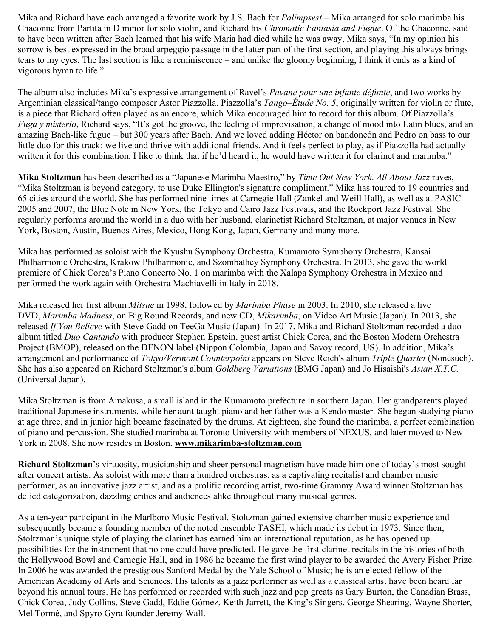Mika and Richard have each arranged a favorite work by J.S. Bach for *Palimpsest* – Mika arranged for solo marimba his Chaconne from Partita in D minor for solo violin, and Richard his *Chromatic Fantasia and Fugue*. Of the Chaconne, said to have been written after Bach learned that his wife Maria had died while he was away, Mika says, "In my opinion his sorrow is best expressed in the broad arpeggio passage in the latter part of the first section, and playing this always brings tears to my eyes. The last section is like a reminiscence – and unlike the gloomy beginning, I think it ends as a kind of vigorous hymn to life."

The album also includes Mika's expressive arrangement of Ravel's *Pavane pour une infante défunte*, and two works by Argentinian classical/tango composer Astor Piazzolla. Piazzolla's *Tango–Étude No. 5*, originally written for violin or flute, is a piece that Richard often played as an encore, which Mika encouraged him to record for this album. Of Piazzolla's *Fuga y misterio*, Richard says, "It's got the groove, the feeling of improvisation, a change of mood into Latin blues, and an amazing Bach-like fugue – but 300 years after Bach. And we loved adding Héctor on bandoneón and Pedro on bass to our little duo for this track: we live and thrive with additional friends. And it feels perfect to play, as if Piazzolla had actually written it for this combination. I like to think that if he'd heard it, he would have written it for clarinet and marimba."

**Mika Stoltzman** has been described as a "Japanese Marimba Maestro," by *Time Out New York*. *All About Jazz* raves, "Mika Stoltzman is beyond category, to use Duke Ellington's signature compliment." Mika has toured to 19 countries and 65 cities around the world. She has performed nine times at Carnegie Hall (Zankel and Weill Hall), as well as at PASIC 2005 and 2007, the Blue Note in New York, the Tokyo and Cairo Jazz Festivals, and the Rockport Jazz Festival. She regularly performs around the world in a duo with her husband, clarinetist Richard Stoltzman, at major venues in New York, Boston, Austin, Buenos Aires, Mexico, Hong Kong, Japan, Germany and many more.

Mika has performed as soloist with the Kyushu Symphony Orchestra, Kumamoto Symphony Orchestra, Kansai Philharmonic Orchestra, Krakow Philharmonic, and Szombathey Symphony Orchestra. In 2013, she gave the world premiere of Chick Corea's Piano Concerto No. 1 on marimba with the Xalapa Symphony Orchestra in Mexico and performed the work again with Orchestra Machiavelli in Italy in 2018.

Mika released her first album *Mitsue* in 1998, followed by *Marimba Phase* in 2003. In 2010, she released a live DVD, *Marimba Madness*, on Big Round Records, and new CD, *Mikarimba*, on Video Art Music (Japan). In 2013, she released *If You Believe* with Steve Gadd on TeeGa Music (Japan). In 2017, Mika and Richard Stoltzman recorded a duo album titled *Duo Cantando* with producer Stephen Epstein, guest artist Chick Corea, and the Boston Modern Orchestra Project (BMOP), released on the DENON label (Nippon Colombia, Japan and Savoy record, US). In addition, Mika's arrangement and performance of *Tokyo/Vermont Counterpoint* appears on Steve Reich's album *Triple Quartet* (Nonesuch). She has also appeared on Richard Stoltzman's album *Goldberg Variations* (BMG Japan) and Jo Hisaishi's *Asian X.T.C.* (Universal Japan).

Mika Stoltzman is from Amakusa, a small island in the Kumamoto prefecture in southern Japan. Her grandparents played traditional Japanese instruments, while her aunt taught piano and her father was a Kendo master. She began studying piano at age three, and in junior high became fascinated by the drums. At eighteen, she found the marimba, a perfect combination of piano and percussion. She studied marimba at Toronto University with members of NEXUS, and later moved to New York in 2008. She now resides in Boston. **www.mikarimba-stoltzman.com**

**Richard Stoltzman**'s virtuosity, musicianship and sheer personal magnetism have made him one of today's most soughtafter concert artists. As soloist with more than a hundred orchestras, as a captivating recitalist and chamber music performer, as an innovative jazz artist, and as a prolific recording artist, two-time Grammy Award winner Stoltzman has defied categorization, dazzling critics and audiences alike throughout many musical genres.

As a ten-year participant in the Marlboro Music Festival, Stoltzman gained extensive chamber music experience and subsequently became a founding member of the noted ensemble TASHI, which made its debut in 1973. Since then, Stoltzman's unique style of playing the clarinet has earned him an international reputation, as he has opened up possibilities for the instrument that no one could have predicted. He gave the first clarinet recitals in the histories of both the Hollywood Bowl and Carnegie Hall, and in 1986 he became the first wind player to be awarded the Avery Fisher Prize. In 2006 he was awarded the prestigious Sanford Medal by the Yale School of Music; he is an elected fellow of the American Academy of Arts and Sciences. His talents as a jazz performer as well as a classical artist have been heard far beyond his annual tours. He has performed or recorded with such jazz and pop greats as Gary Burton, the Canadian Brass, Chick Corea, Judy Collins, Steve Gadd, Eddie Gómez, Keith Jarrett, the King's Singers, George Shearing, Wayne Shorter, Mel Tormé, and Spyro Gyra founder Jeremy Wall.